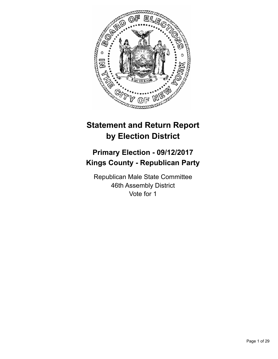

# **Statement and Return Report by Election District**

# **Primary Election - 09/12/2017 Kings County - Republican Party**

Republican Male State Committee 46th Assembly District Vote for 1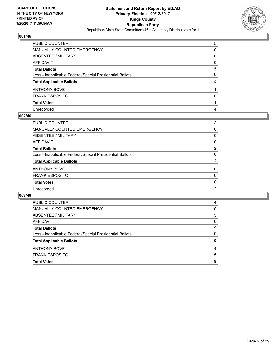

| PUBLIC COUNTER                                           | 5 |
|----------------------------------------------------------|---|
| MANUALLY COUNTED EMERGENCY                               | 0 |
| ABSENTEE / MILITARY                                      | 0 |
| AFFIDAVIT                                                | 0 |
| Total Ballots                                            | 5 |
| Less - Inapplicable Federal/Special Presidential Ballots | 0 |
| <b>Total Applicable Ballots</b>                          | 5 |
| ANTHONY BOVE                                             |   |
| <b>FRANK ESPOSITO</b>                                    | 0 |
| <b>Total Votes</b>                                       |   |
| Unrecorded                                               | 4 |

#### **002/46**

| <b>PUBLIC COUNTER</b>                                    | 2              |
|----------------------------------------------------------|----------------|
| <b>MANUALLY COUNTED EMERGENCY</b>                        | 0              |
| <b>ABSENTEE / MILITARY</b>                               | 0              |
| <b>AFFIDAVIT</b>                                         | 0              |
| <b>Total Ballots</b>                                     | $\overline{2}$ |
| Less - Inapplicable Federal/Special Presidential Ballots | $\Omega$       |
| <b>Total Applicable Ballots</b>                          | $\mathbf{2}$   |
| <b>ANTHONY BOVE</b>                                      | $\mathbf{0}$   |
| <b>FRANK ESPOSITO</b>                                    | 0              |
| <b>Total Votes</b>                                       | 0              |
| Unrecorded                                               | $\overline{2}$ |
|                                                          |                |

| <b>Total Votes</b>                                       | 9 |
|----------------------------------------------------------|---|
| <b>FRANK ESPOSITO</b>                                    | 5 |
| <b>ANTHONY BOVE</b>                                      | 4 |
| <b>Total Applicable Ballots</b>                          | 9 |
| Less - Inapplicable Federal/Special Presidential Ballots | 0 |
| <b>Total Ballots</b>                                     | 9 |
| AFFIDAVIT                                                | 0 |
| ABSENTEE / MILITARY                                      | 5 |
| <b>MANUALLY COUNTED EMERGENCY</b>                        | 0 |
| <b>PUBLIC COUNTER</b>                                    | 4 |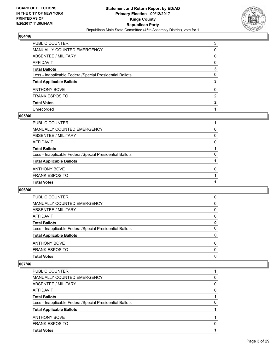

| PUBLIC COUNTER                                           | 3              |
|----------------------------------------------------------|----------------|
| MANUALLY COUNTED EMERGENCY                               | 0              |
| <b>ABSENTEE / MILITARY</b>                               | 0              |
| AFFIDAVIT                                                | 0              |
| Total Ballots                                            | 3              |
| Less - Inapplicable Federal/Special Presidential Ballots | $\mathbf{0}$   |
| <b>Total Applicable Ballots</b>                          | 3              |
| ANTHONY BOVE                                             | 0              |
| FRANK ESPOSITO                                           | $\overline{2}$ |
| <b>Total Votes</b>                                       | 2              |
| Unrecorded                                               |                |

#### **005/46**

| PUBLIC COUNTER                                           |   |
|----------------------------------------------------------|---|
| MANUALLY COUNTED EMERGENCY                               | 0 |
| ABSENTEE / MILITARY                                      | 0 |
| AFFIDAVIT                                                | 0 |
| <b>Total Ballots</b>                                     |   |
| Less - Inapplicable Federal/Special Presidential Ballots | 0 |
| <b>Total Applicable Ballots</b>                          |   |
| <b>ANTHONY BOVE</b>                                      | 0 |
| <b>FRANK ESPOSITO</b>                                    |   |
| <b>Total Votes</b>                                       |   |
|                                                          |   |

## **006/46**

| <b>PUBLIC COUNTER</b>                                    | 0            |
|----------------------------------------------------------|--------------|
| MANUALLY COUNTED EMERGENCY                               | 0            |
| ABSENTEE / MILITARY                                      | 0            |
| AFFIDAVIT                                                | 0            |
| <b>Total Ballots</b>                                     | 0            |
| Less - Inapplicable Federal/Special Presidential Ballots | 0            |
| <b>Total Applicable Ballots</b>                          | $\mathbf{0}$ |
| <b>ANTHONY BOVE</b>                                      | 0            |
| <b>FRANK ESPOSITO</b>                                    | $\Omega$     |
| <b>Total Votes</b>                                       | $\mathbf{0}$ |

| <b>PUBLIC COUNTER</b>                                    |   |
|----------------------------------------------------------|---|
| <b>MANUALLY COUNTED EMERGENCY</b>                        | 0 |
| ABSENTEE / MILITARY                                      | 0 |
| AFFIDAVIT                                                | 0 |
| <b>Total Ballots</b>                                     |   |
| Less - Inapplicable Federal/Special Presidential Ballots | O |
| <b>Total Applicable Ballots</b>                          |   |
| <b>ANTHONY BOVE</b>                                      |   |
| <b>FRANK ESPOSITO</b>                                    | O |
| <b>Total Votes</b>                                       |   |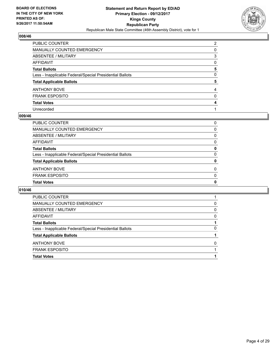

| PUBLIC COUNTER                                           | $\overline{2}$ |
|----------------------------------------------------------|----------------|
| MANUALLY COUNTED EMERGENCY                               | 0              |
| <b>ABSENTEE / MILITARY</b>                               | 3              |
| AFFIDAVIT                                                | 0              |
| Total Ballots                                            | 5              |
| Less - Inapplicable Federal/Special Presidential Ballots | $\mathbf{0}$   |
| <b>Total Applicable Ballots</b>                          | 5              |
| ANTHONY BOVE                                             | 4              |
| FRANK ESPOSITO                                           | $\mathbf{0}$   |
| <b>Total Votes</b>                                       | 4              |
| Unrecorded                                               |                |

#### **009/46**

| PUBLIC COUNTER                                           | 0        |
|----------------------------------------------------------|----------|
| MANUALLY COUNTED EMERGENCY                               | 0        |
| ABSENTEE / MILITARY                                      | 0        |
| AFFIDAVIT                                                | 0        |
| <b>Total Ballots</b>                                     | 0        |
| Less - Inapplicable Federal/Special Presidential Ballots | 0        |
| <b>Total Applicable Ballots</b>                          | 0        |
| <b>ANTHONY BOVE</b>                                      | $\Omega$ |
| <b>FRANK ESPOSITO</b>                                    | $\Omega$ |
| <b>Total Votes</b>                                       | 0        |
|                                                          |          |

| <b>PUBLIC COUNTER</b>                                    |          |
|----------------------------------------------------------|----------|
| MANUALLY COUNTED EMERGENCY                               | 0        |
| ABSENTEE / MILITARY                                      | 0        |
| AFFIDAVIT                                                | $\Omega$ |
| <b>Total Ballots</b>                                     |          |
| Less - Inapplicable Federal/Special Presidential Ballots | 0        |
| <b>Total Applicable Ballots</b>                          |          |
| <b>ANTHONY BOVE</b>                                      | 0        |
| <b>FRANK ESPOSITO</b>                                    |          |
| <b>Total Votes</b>                                       |          |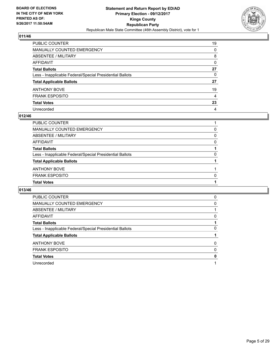

| PUBLIC COUNTER                                           | 19           |
|----------------------------------------------------------|--------------|
| MANUALLY COUNTED EMERGENCY                               | 0            |
| ABSENTEE / MILITARY                                      | 8            |
| AFFIDAVIT                                                | 0            |
| Total Ballots                                            | 27           |
| Less - Inapplicable Federal/Special Presidential Ballots | $\mathbf{0}$ |
| <b>Total Applicable Ballots</b>                          | 27           |
| ANTHONY BOVE                                             | 19           |
| <b>FRANK ESPOSITO</b>                                    | 4            |
| <b>Total Votes</b>                                       | 23           |
| Unrecorded                                               | 4            |

#### **012/46**

| <b>Total Votes</b>                                       |   |
|----------------------------------------------------------|---|
| <b>FRANK ESPOSITO</b>                                    | 0 |
| <b>ANTHONY BOVE</b>                                      |   |
| <b>Total Applicable Ballots</b>                          |   |
| Less - Inapplicable Federal/Special Presidential Ballots | 0 |
| <b>Total Ballots</b>                                     |   |
| AFFIDAVIT                                                | 0 |
| ABSENTEE / MILITARY                                      | 0 |
| MANUALLY COUNTED EMERGENCY                               | 0 |
| PUBLIC COUNTER                                           |   |

| <b>PUBLIC COUNTER</b>                                    | 0        |
|----------------------------------------------------------|----------|
| <b>MANUALLY COUNTED EMERGENCY</b>                        | 0        |
| ABSENTEE / MILITARY                                      |          |
| <b>AFFIDAVIT</b>                                         | 0        |
| <b>Total Ballots</b>                                     |          |
| Less - Inapplicable Federal/Special Presidential Ballots | 0        |
| <b>Total Applicable Ballots</b>                          |          |
| <b>ANTHONY BOVE</b>                                      | 0        |
| <b>FRANK ESPOSITO</b>                                    | $\Omega$ |
| <b>Total Votes</b>                                       | 0        |
| Unrecorded                                               |          |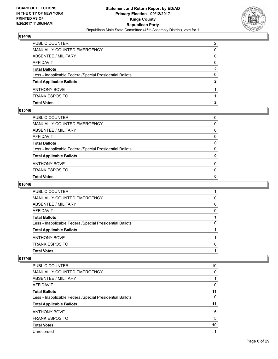

| <b>Total Votes</b>                                       | 2 |
|----------------------------------------------------------|---|
| <b>FRANK ESPOSITO</b>                                    |   |
| <b>ANTHONY BOVE</b>                                      |   |
| <b>Total Applicable Ballots</b>                          | 2 |
| Less - Inapplicable Federal/Special Presidential Ballots | 0 |
| <b>Total Ballots</b>                                     | 2 |
| AFFIDAVIT                                                | 0 |
| <b>ABSENTEE / MILITARY</b>                               | 0 |
| <b>MANUALLY COUNTED EMERGENCY</b>                        | 0 |
| PUBLIC COUNTER                                           | 2 |

### **015/46**

| PUBLIC COUNTER                                           | 0            |
|----------------------------------------------------------|--------------|
| MANUALLY COUNTED EMERGENCY                               | 0            |
| ABSENTEE / MILITARY                                      | $\Omega$     |
| AFFIDAVIT                                                | 0            |
| Total Ballots                                            | 0            |
| Less - Inapplicable Federal/Special Presidential Ballots | $\mathbf{0}$ |
| <b>Total Applicable Ballots</b>                          | 0            |
| ANTHONY BOVE                                             | 0            |
| <b>FRANK ESPOSITO</b>                                    | $\Omega$     |
| <b>Total Votes</b>                                       | 0            |
|                                                          |              |

## **016/46**

| PUBLIC COUNTER                                           |   |
|----------------------------------------------------------|---|
| MANUALLY COUNTED EMERGENCY                               | 0 |
| ABSENTEE / MILITARY                                      | 0 |
| AFFIDAVIT                                                | 0 |
| <b>Total Ballots</b>                                     |   |
| Less - Inapplicable Federal/Special Presidential Ballots | 0 |
| <b>Total Applicable Ballots</b>                          |   |
| <b>ANTHONY BOVE</b>                                      |   |
| <b>FRANK ESPOSITO</b>                                    | O |
| <b>Total Votes</b>                                       |   |
|                                                          |   |

| <b>PUBLIC COUNTER</b>                                    | 10 |
|----------------------------------------------------------|----|
| <b>MANUALLY COUNTED EMERGENCY</b>                        | 0  |
| ABSENTEE / MILITARY                                      |    |
| <b>AFFIDAVIT</b>                                         | 0  |
| <b>Total Ballots</b>                                     | 11 |
| Less - Inapplicable Federal/Special Presidential Ballots | 0  |
| <b>Total Applicable Ballots</b>                          | 11 |
| <b>ANTHONY BOVE</b>                                      | 5  |
| <b>FRANK ESPOSITO</b>                                    | 5  |
| <b>Total Votes</b>                                       | 10 |
| Unrecorded                                               | 1  |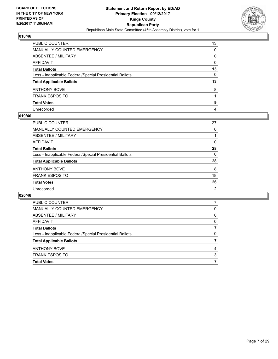

| PUBLIC COUNTER                                           | 13           |
|----------------------------------------------------------|--------------|
| MANUALLY COUNTED EMERGENCY                               | 0            |
| ABSENTEE / MILITARY                                      | 0            |
| AFFIDAVIT                                                | $\mathbf{0}$ |
| Total Ballots                                            | 13           |
| Less - Inapplicable Federal/Special Presidential Ballots | $\mathbf{0}$ |
| <b>Total Applicable Ballots</b>                          | 13           |
| ANTHONY BOVE                                             | 8            |
| FRANK ESPOSITO                                           |              |
| <b>Total Votes</b>                                       | 9            |
| Unrecorded                                               | 4            |

#### **019/46**

| PUBLIC COUNTER                                           | 27             |
|----------------------------------------------------------|----------------|
| <b>MANUALLY COUNTED EMERGENCY</b>                        | 0              |
| ABSENTEE / MILITARY                                      |                |
| AFFIDAVIT                                                | 0              |
| <b>Total Ballots</b>                                     | 28             |
| Less - Inapplicable Federal/Special Presidential Ballots | 0              |
| <b>Total Applicable Ballots</b>                          | 28             |
| <b>ANTHONY BOVE</b>                                      | 8              |
| <b>FRANK ESPOSITO</b>                                    | 18             |
| <b>Total Votes</b>                                       | 26             |
| Unrecorded                                               | $\overline{2}$ |

| <b>PUBLIC COUNTER</b>                                    |   |
|----------------------------------------------------------|---|
| MANUALLY COUNTED EMERGENCY                               | 0 |
| ABSENTEE / MILITARY                                      | 0 |
| AFFIDAVIT                                                | 0 |
| <b>Total Ballots</b>                                     |   |
| Less - Inapplicable Federal/Special Presidential Ballots | 0 |
| <b>Total Applicable Ballots</b>                          |   |
| <b>ANTHONY BOVE</b>                                      | 4 |
| <b>FRANK ESPOSITO</b>                                    | 3 |
| <b>Total Votes</b>                                       |   |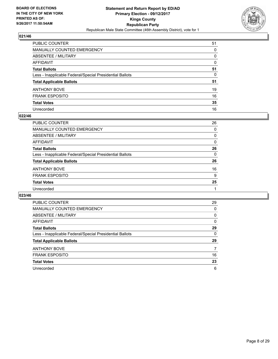

| PUBLIC COUNTER                                           | 51       |
|----------------------------------------------------------|----------|
| <b>MANUALLY COUNTED EMERGENCY</b>                        | 0        |
| <b>ABSENTEE / MILITARY</b>                               | 0        |
| <b>AFFIDAVIT</b>                                         | $\Omega$ |
| <b>Total Ballots</b>                                     | 51       |
| Less - Inapplicable Federal/Special Presidential Ballots | 0        |
| <b>Total Applicable Ballots</b>                          | 51       |
| ANTHONY BOVE                                             | 19       |
| <b>FRANK ESPOSITO</b>                                    | 16       |
| <b>Total Votes</b>                                       | 35       |
| Unrecorded                                               | 16       |

#### **022/46**

| PUBLIC COUNTER                                           | 26       |
|----------------------------------------------------------|----------|
| MANUALLY COUNTED EMERGENCY                               | $\Omega$ |
| ABSENTEE / MILITARY                                      | 0        |
| AFFIDAVIT                                                | 0        |
| <b>Total Ballots</b>                                     | 26       |
| Less - Inapplicable Federal/Special Presidential Ballots | $\Omega$ |
| <b>Total Applicable Ballots</b>                          | 26       |
| <b>ANTHONY BOVE</b>                                      | 16       |
| <b>FRANK ESPOSITO</b>                                    | 9        |
| <b>Total Votes</b>                                       | 25       |
| Unrecorded                                               |          |
|                                                          |          |

| <b>PUBLIC COUNTER</b>                                    | 29 |
|----------------------------------------------------------|----|
| <b>MANUALLY COUNTED EMERGENCY</b>                        | 0  |
| ABSENTEE / MILITARY                                      | 0  |
| <b>AFFIDAVIT</b>                                         | 0  |
| <b>Total Ballots</b>                                     | 29 |
| Less - Inapplicable Federal/Special Presidential Ballots | 0  |
| <b>Total Applicable Ballots</b>                          | 29 |
| <b>ANTHONY BOVE</b>                                      | 7  |
| <b>FRANK ESPOSITO</b>                                    | 16 |
| <b>Total Votes</b>                                       | 23 |
| Unrecorded                                               | 6  |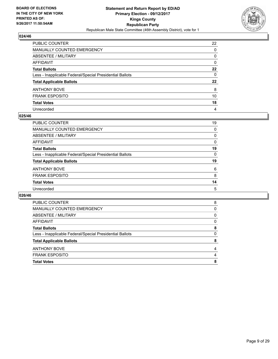

| PUBLIC COUNTER                                           | 22      |
|----------------------------------------------------------|---------|
| MANUALLY COUNTED EMERGENCY                               | 0       |
| ABSENTEE / MILITARY                                      | 0       |
| AFFIDAVIT                                                | 0       |
| Total Ballots                                            | 22      |
| Less - Inapplicable Federal/Special Presidential Ballots | 0       |
| <b>Total Applicable Ballots</b>                          | $22 \,$ |
| ANTHONY BOVE                                             | 8       |
| <b>FRANK ESPOSITO</b>                                    | 10      |
| <b>Total Votes</b>                                       | 18      |
| Unrecorded                                               | 4       |

#### **025/46**

| PUBLIC COUNTER                                           | 19       |
|----------------------------------------------------------|----------|
| <b>MANUALLY COUNTED EMERGENCY</b>                        | $\Omega$ |
| ABSENTEE / MILITARY                                      | 0        |
| AFFIDAVIT                                                | 0        |
| <b>Total Ballots</b>                                     | 19       |
| Less - Inapplicable Federal/Special Presidential Ballots | 0        |
| <b>Total Applicable Ballots</b>                          | 19       |
| <b>ANTHONY BOVE</b>                                      | 6        |
| <b>FRANK ESPOSITO</b>                                    | 8        |
| <b>Total Votes</b>                                       | 14       |
| Unrecorded                                               | 5        |

| <b>Total Votes</b>                                       | 8 |
|----------------------------------------------------------|---|
| <b>FRANK ESPOSITO</b>                                    | 4 |
| <b>ANTHONY BOVE</b>                                      | 4 |
| <b>Total Applicable Ballots</b>                          | 8 |
| Less - Inapplicable Federal/Special Presidential Ballots | 0 |
| <b>Total Ballots</b>                                     | 8 |
| AFFIDAVIT                                                | 0 |
| ABSENTEE / MILITARY                                      | 0 |
| <b>MANUALLY COUNTED EMERGENCY</b>                        | 0 |
| <b>PUBLIC COUNTER</b>                                    | 8 |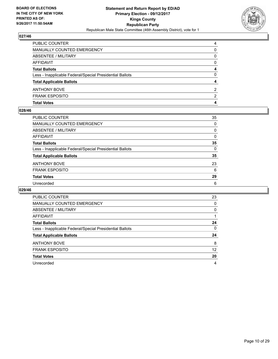

| <b>MANUALLY COUNTED EMERGENCY</b><br>0<br><b>ABSENTEE / MILITARY</b><br>0<br><b>AFFIDAVIT</b><br>0<br><b>Total Ballots</b><br>4<br>$\Omega$<br>Less - Inapplicable Federal/Special Presidential Ballots<br><b>Total Applicable Ballots</b><br>4<br><b>ANTHONY BOVE</b><br><b>FRANK ESPOSITO</b><br><b>Total Votes</b><br>4 | PUBLIC COUNTER | 4 |
|----------------------------------------------------------------------------------------------------------------------------------------------------------------------------------------------------------------------------------------------------------------------------------------------------------------------------|----------------|---|
|                                                                                                                                                                                                                                                                                                                            |                |   |
|                                                                                                                                                                                                                                                                                                                            |                |   |
|                                                                                                                                                                                                                                                                                                                            |                |   |
|                                                                                                                                                                                                                                                                                                                            |                |   |
|                                                                                                                                                                                                                                                                                                                            |                |   |
|                                                                                                                                                                                                                                                                                                                            |                |   |
|                                                                                                                                                                                                                                                                                                                            |                | 2 |
|                                                                                                                                                                                                                                                                                                                            |                | 2 |
|                                                                                                                                                                                                                                                                                                                            |                |   |

#### **028/46**

| PUBLIC COUNTER                                           | 35       |
|----------------------------------------------------------|----------|
| <b>MANUALLY COUNTED EMERGENCY</b>                        | $\Omega$ |
| ABSENTEE / MILITARY                                      | 0        |
| <b>AFFIDAVIT</b>                                         | 0        |
| <b>Total Ballots</b>                                     | 35       |
| Less - Inapplicable Federal/Special Presidential Ballots | $\Omega$ |
| <b>Total Applicable Ballots</b>                          | 35       |
| <b>ANTHONY BOVE</b>                                      | 23       |
| <b>FRANK ESPOSITO</b>                                    | 6        |
| <b>Total Votes</b>                                       | 29       |
| Unrecorded                                               | 6        |
|                                                          |          |

| <b>PUBLIC COUNTER</b>                                    | 23 |
|----------------------------------------------------------|----|
| <b>MANUALLY COUNTED EMERGENCY</b>                        | 0  |
| ABSENTEE / MILITARY                                      | 0  |
| AFFIDAVIT                                                |    |
| <b>Total Ballots</b>                                     | 24 |
| Less - Inapplicable Federal/Special Presidential Ballots | 0  |
| <b>Total Applicable Ballots</b>                          | 24 |
| <b>ANTHONY BOVE</b>                                      | 8  |
| <b>FRANK ESPOSITO</b>                                    | 12 |
| <b>Total Votes</b>                                       | 20 |
| Unrecorded                                               | 4  |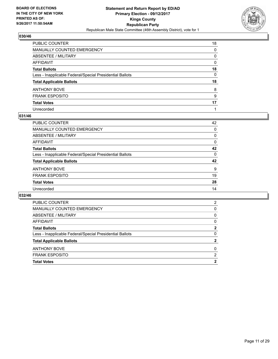

| PUBLIC COUNTER                                           | 18 |
|----------------------------------------------------------|----|
| MANUALLY COUNTED EMERGENCY                               | 0  |
| ABSENTEE / MILITARY                                      | 0  |
| AFFIDAVIT                                                | 0  |
| Total Ballots                                            | 18 |
| Less - Inapplicable Federal/Special Presidential Ballots | 0  |
| <b>Total Applicable Ballots</b>                          | 18 |
| ANTHONY BOVE                                             | 8  |
| FRANK ESPOSITO                                           | 9  |
| <b>Total Votes</b>                                       | 17 |
| Unrecorded                                               |    |

#### **031/46**

| 42 |
|----|
|    |
| 0  |
| 0  |
| 0  |
| 42 |
| 0  |
| 42 |
| 9  |
| 19 |
| 28 |
| 14 |
|    |

| <b>Total Votes</b>                                       | 2 |
|----------------------------------------------------------|---|
| <b>FRANK ESPOSITO</b>                                    | 2 |
| <b>ANTHONY BOVE</b>                                      | 0 |
| <b>Total Applicable Ballots</b>                          | 2 |
| Less - Inapplicable Federal/Special Presidential Ballots | 0 |
| <b>Total Ballots</b>                                     | 2 |
| AFFIDAVIT                                                | 0 |
| ABSENTEE / MILITARY                                      | 0 |
| MANUALLY COUNTED EMERGENCY                               | 0 |
| <b>PUBLIC COUNTER</b>                                    | 2 |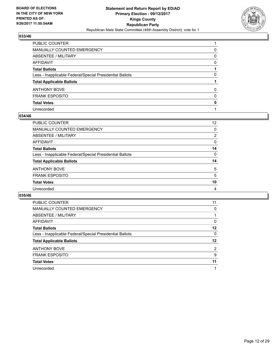

| PUBLIC COUNTER                                           |              |
|----------------------------------------------------------|--------------|
| MANUALLY COUNTED EMERGENCY                               | 0            |
| <b>ABSENTEE / MILITARY</b>                               | 0            |
| AFFIDAVIT                                                | 0            |
| Total Ballots                                            |              |
| Less - Inapplicable Federal/Special Presidential Ballots | 0            |
| <b>Total Applicable Ballots</b>                          |              |
| ANTHONY BOVE                                             | 0            |
| <b>FRANK ESPOSITO</b>                                    | $\mathbf{0}$ |
| <b>Total Votes</b>                                       | 0            |
| Unrecorded                                               |              |

#### **034/46**

| PUBLIC COUNTER                                           | 12       |
|----------------------------------------------------------|----------|
| <b>MANUALLY COUNTED EMERGENCY</b>                        | 0        |
| ABSENTEE / MILITARY                                      | 2        |
| AFFIDAVIT                                                | 0        |
| <b>Total Ballots</b>                                     | 14       |
| Less - Inapplicable Federal/Special Presidential Ballots | $\Omega$ |
| <b>Total Applicable Ballots</b>                          | 14       |
| <b>ANTHONY BOVE</b>                                      | 5        |
| <b>FRANK ESPOSITO</b>                                    | 5        |
| <b>Total Votes</b>                                       | 10       |
| Unrecorded                                               | 4        |
|                                                          |          |

| <b>PUBLIC COUNTER</b>                                    | 11             |
|----------------------------------------------------------|----------------|
| MANUALLY COUNTED EMERGENCY                               | 0              |
| ABSENTEE / MILITARY                                      |                |
| AFFIDAVIT                                                | 0              |
| <b>Total Ballots</b>                                     | 12             |
| Less - Inapplicable Federal/Special Presidential Ballots | 0              |
| <b>Total Applicable Ballots</b>                          | 12             |
| <b>ANTHONY BOVE</b>                                      | $\overline{2}$ |
| <b>FRANK ESPOSITO</b>                                    | 9              |
| <b>Total Votes</b>                                       | 11             |
| Unrecorded                                               |                |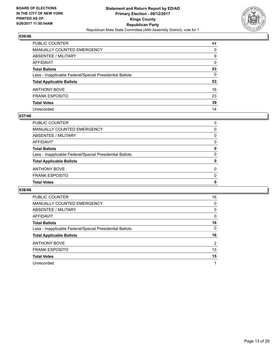

| PUBLIC COUNTER                                           | 44 |
|----------------------------------------------------------|----|
| <b>MANUALLY COUNTED EMERGENCY</b>                        | 0  |
| <b>ABSENTEE / MILITARY</b>                               | 9  |
| AFFIDAVIT                                                | 0  |
| <b>Total Ballots</b>                                     | 53 |
| Less - Inapplicable Federal/Special Presidential Ballots | 0  |
| <b>Total Applicable Ballots</b>                          | 53 |
| ANTHONY BOVE                                             | 16 |
| <b>FRANK ESPOSITO</b>                                    | 23 |
| <b>Total Votes</b>                                       | 39 |
| Unrecorded                                               | 14 |

#### **037/46**

| 0        |
|----------|
|          |
| $\Omega$ |
| $\Omega$ |
| 0        |
| 0        |
| 0        |
| 0        |
| 0        |
| 0        |
| $\Omega$ |
|          |

| PUBLIC COUNTER                                           | 16 |
|----------------------------------------------------------|----|
| <b>MANUALLY COUNTED EMERGENCY</b>                        | 0  |
| ABSENTEE / MILITARY                                      | 0  |
| AFFIDAVIT                                                | 0  |
| <b>Total Ballots</b>                                     | 16 |
| Less - Inapplicable Federal/Special Presidential Ballots | 0  |
| <b>Total Applicable Ballots</b>                          | 16 |
| <b>ANTHONY BOVE</b>                                      | 2  |
| <b>FRANK ESPOSITO</b>                                    | 13 |
| <b>Total Votes</b>                                       | 15 |
| Unrecorded                                               |    |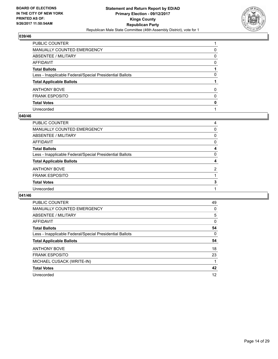

| PUBLIC COUNTER                                           |          |
|----------------------------------------------------------|----------|
| <b>MANUALLY COUNTED EMERGENCY</b>                        | 0        |
| <b>ABSENTEE / MILITARY</b>                               | 0        |
| AFFIDAVIT                                                | $\Omega$ |
| <b>Total Ballots</b>                                     |          |
| Less - Inapplicable Federal/Special Presidential Ballots | 0        |
| <b>Total Applicable Ballots</b>                          |          |
| ANTHONY BOVE                                             | $\Omega$ |
| <b>FRANK ESPOSITO</b>                                    | $\Omega$ |
| <b>Total Votes</b>                                       | 0        |
| Unrecorded                                               |          |

#### **040/46**

| PUBLIC COUNTER                                           | 4              |
|----------------------------------------------------------|----------------|
| <b>MANUALLY COUNTED EMERGENCY</b>                        | 0              |
| ABSENTEE / MILITARY                                      | 0              |
| AFFIDAVIT                                                | 0              |
| <b>Total Ballots</b>                                     | 4              |
| Less - Inapplicable Federal/Special Presidential Ballots | 0              |
| <b>Total Applicable Ballots</b>                          | 4              |
| <b>ANTHONY BOVE</b>                                      | $\overline{2}$ |
| <b>FRANK ESPOSITO</b>                                    |                |
| <b>Total Votes</b>                                       | 3              |
| Unrecorded                                               |                |
|                                                          |                |

| <b>PUBLIC COUNTER</b>                                    | 49 |
|----------------------------------------------------------|----|
| <b>MANUALLY COUNTED EMERGENCY</b>                        | 0  |
| ABSENTEE / MILITARY                                      | 5  |
| <b>AFFIDAVIT</b>                                         | 0  |
| <b>Total Ballots</b>                                     | 54 |
| Less - Inapplicable Federal/Special Presidential Ballots | 0  |
| <b>Total Applicable Ballots</b>                          | 54 |
|                                                          |    |
| <b>ANTHONY BOVE</b>                                      | 18 |
| <b>FRANK ESPOSITO</b>                                    | 23 |
| MICHAEL CUSACK (WRITE-IN)                                |    |
| <b>Total Votes</b>                                       | 42 |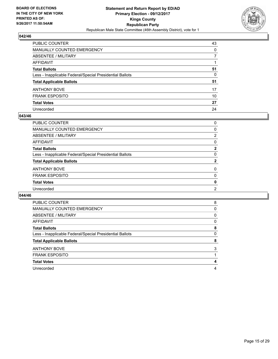

| PUBLIC COUNTER                                           | 43 |
|----------------------------------------------------------|----|
| <b>MANUALLY COUNTED EMERGENCY</b>                        | 0  |
| <b>ABSENTEE / MILITARY</b>                               |    |
| AFFIDAVIT                                                |    |
| <b>Total Ballots</b>                                     | 51 |
| Less - Inapplicable Federal/Special Presidential Ballots | 0  |
| <b>Total Applicable Ballots</b>                          | 51 |
| ANTHONY BOVE                                             | 17 |
| <b>FRANK ESPOSITO</b>                                    | 10 |
| <b>Total Votes</b>                                       | 27 |
| Unrecorded                                               | 24 |

#### **043/46**

| PUBLIC COUNTER                                           | 0              |
|----------------------------------------------------------|----------------|
| <b>MANUALLY COUNTED EMERGENCY</b>                        | 0              |
| ABSENTEE / MILITARY                                      | $\overline{2}$ |
| AFFIDAVIT                                                | 0              |
| <b>Total Ballots</b>                                     | $\mathbf{2}$   |
| Less - Inapplicable Federal/Special Presidential Ballots | 0              |
| <b>Total Applicable Ballots</b>                          | 2              |
| <b>ANTHONY BOVE</b>                                      | 0              |
| <b>FRANK ESPOSITO</b>                                    | 0              |
| <b>Total Votes</b>                                       | 0              |
| Unrecorded                                               | 2              |
|                                                          |                |

| <b>PUBLIC COUNTER</b>                                    | 8 |
|----------------------------------------------------------|---|
| <b>MANUALLY COUNTED EMERGENCY</b>                        | 0 |
| ABSENTEE / MILITARY                                      | 0 |
| <b>AFFIDAVIT</b>                                         | 0 |
| <b>Total Ballots</b>                                     | 8 |
| Less - Inapplicable Federal/Special Presidential Ballots | 0 |
|                                                          |   |
| <b>Total Applicable Ballots</b>                          | 8 |
| <b>ANTHONY BOVE</b>                                      | 3 |
| <b>FRANK ESPOSITO</b>                                    |   |
| <b>Total Votes</b>                                       | 4 |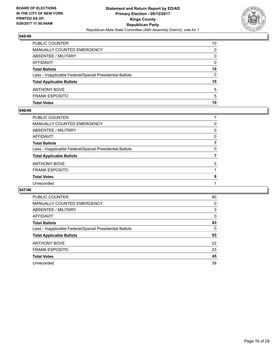

| <b>PUBLIC COUNTER</b>                                    | 10 |
|----------------------------------------------------------|----|
| <b>MANUALLY COUNTED EMERGENCY</b>                        | 0  |
| <b>ABSENTEE / MILITARY</b>                               | 0  |
| AFFIDAVIT                                                | 0  |
| <b>Total Ballots</b>                                     | 10 |
| Less - Inapplicable Federal/Special Presidential Ballots | 0  |
| <b>Total Applicable Ballots</b>                          | 10 |
| <b>ANTHONY BOVE</b>                                      | 5  |
| <b>FRANK ESPOSITO</b>                                    | 5  |
| <b>Total Votes</b>                                       | 10 |

#### **046/46**

| PUBLIC COUNTER                                           |   |
|----------------------------------------------------------|---|
| <b>MANUALLY COUNTED EMERGENCY</b>                        | 0 |
| ABSENTEE / MILITARY                                      | 0 |
| AFFIDAVIT                                                | 0 |
| <b>Total Ballots</b>                                     |   |
| Less - Inapplicable Federal/Special Presidential Ballots | 0 |
| <b>Total Applicable Ballots</b>                          |   |
| ANTHONY BOVE                                             | 5 |
| <b>FRANK ESPOSITO</b>                                    |   |
| <b>Total Votes</b>                                       | 6 |
| Unrecorded                                               |   |
|                                                          |   |

| <b>PUBLIC COUNTER</b>                                    | 80 |
|----------------------------------------------------------|----|
| <b>MANUALLY COUNTED EMERGENCY</b>                        | 0  |
| ABSENTEE / MILITARY                                      | 3  |
| AFFIDAVIT                                                | 0  |
| <b>Total Ballots</b>                                     | 83 |
| Less - Inapplicable Federal/Special Presidential Ballots | 0  |
| <b>Total Applicable Ballots</b>                          | 83 |
| <b>ANTHONY BOVE</b>                                      | 22 |
| <b>FRANK ESPOSITO</b>                                    | 23 |
| <b>Total Votes</b>                                       | 45 |
| Unrecorded                                               | 38 |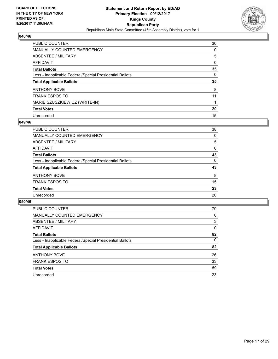

| <b>PUBLIC COUNTER</b>                                    | 30 |
|----------------------------------------------------------|----|
| <b>MANUALLY COUNTED EMERGENCY</b>                        | 0  |
| ABSENTEE / MILITARY                                      | 5  |
| AFFIDAVIT                                                | 0  |
| <b>Total Ballots</b>                                     | 35 |
| Less - Inapplicable Federal/Special Presidential Ballots | 0  |
| <b>Total Applicable Ballots</b>                          | 35 |
|                                                          |    |
| <b>ANTHONY BOVE</b>                                      | 8  |
| <b>FRANK ESPOSITO</b>                                    | 11 |
| MARIE SZUSZKIEWICZ (WRITE-IN)                            |    |
| <b>Total Votes</b>                                       | 20 |

#### **049/46**

| <b>PUBLIC COUNTER</b>                                    | 38 |
|----------------------------------------------------------|----|
| MANUALLY COUNTED EMERGENCY                               | 0  |
| ABSENTEE / MILITARY                                      | 5  |
| AFFIDAVIT                                                | 0  |
| <b>Total Ballots</b>                                     | 43 |
| Less - Inapplicable Federal/Special Presidential Ballots | 0  |
| <b>Total Applicable Ballots</b>                          | 43 |
| <b>ANTHONY BOVE</b>                                      | 8  |
| <b>FRANK ESPOSITO</b>                                    | 15 |
| <b>Total Votes</b>                                       | 23 |
| Unrecorded                                               | 20 |

| <b>PUBLIC COUNTER</b>                                    | 79 |
|----------------------------------------------------------|----|
| <b>MANUALLY COUNTED EMERGENCY</b>                        | 0  |
| ABSENTEE / MILITARY                                      | 3  |
| AFFIDAVIT                                                | 0  |
| <b>Total Ballots</b>                                     | 82 |
| Less - Inapplicable Federal/Special Presidential Ballots | 0  |
| <b>Total Applicable Ballots</b>                          | 82 |
| <b>ANTHONY BOVE</b>                                      | 26 |
| <b>FRANK ESPOSITO</b>                                    | 33 |
| <b>Total Votes</b>                                       | 59 |
| Unrecorded                                               | 23 |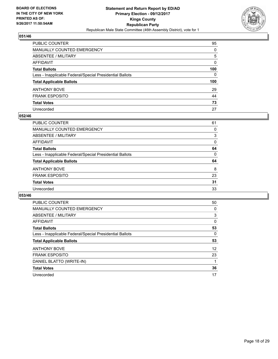

| PUBLIC COUNTER                                           | 95  |
|----------------------------------------------------------|-----|
| MANUALLY COUNTED EMERGENCY                               | 0   |
| ABSENTEE / MILITARY                                      | 5   |
| AFFIDAVIT                                                | 0   |
| Total Ballots                                            | 100 |
| Less - Inapplicable Federal/Special Presidential Ballots | 0   |
| <b>Total Applicable Ballots</b>                          | 100 |
| ANTHONY BOVE                                             | 29  |
| <b>FRANK ESPOSITO</b>                                    | 44  |
| <b>Total Votes</b>                                       | 73  |
| Unrecorded                                               | 27  |

#### **052/46**

| PUBLIC COUNTER                                           | 61       |
|----------------------------------------------------------|----------|
| <b>MANUALLY COUNTED EMERGENCY</b>                        | 0        |
| ABSENTEE / MILITARY                                      | 3        |
| AFFIDAVIT                                                | 0        |
| <b>Total Ballots</b>                                     | 64       |
| Less - Inapplicable Federal/Special Presidential Ballots | $\Omega$ |
| <b>Total Applicable Ballots</b>                          | 64       |
| <b>ANTHONY BOVE</b>                                      | 8        |
| <b>FRANK ESPOSITO</b>                                    | 23       |
| <b>Total Votes</b>                                       | 31       |
| Unrecorded                                               | 33       |
|                                                          |          |

| <b>PUBLIC COUNTER</b>                                    | 50 |
|----------------------------------------------------------|----|
| <b>MANUALLY COUNTED EMERGENCY</b>                        | 0  |
| ABSENTEE / MILITARY                                      | 3  |
| AFFIDAVIT                                                | 0  |
| <b>Total Ballots</b>                                     | 53 |
| Less - Inapplicable Federal/Special Presidential Ballots | 0  |
| <b>Total Applicable Ballots</b>                          | 53 |
| <b>ANTHONY BOVE</b>                                      | 12 |
| <b>FRANK ESPOSITO</b>                                    | 23 |
| DANIEL BLATTO (WRITE-IN)                                 |    |
| <b>Total Votes</b>                                       | 36 |
| Unrecorded                                               | 17 |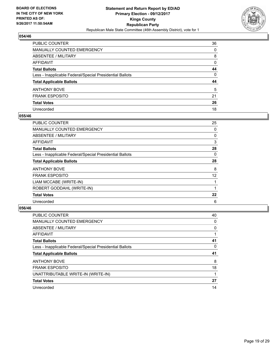

| PUBLIC COUNTER                                           | 36 |
|----------------------------------------------------------|----|
| MANUALLY COUNTED EMERGENCY                               | 0  |
| ABSENTEE / MILITARY                                      | 8  |
| AFFIDAVIT                                                | 0  |
| <b>Total Ballots</b>                                     | 44 |
| Less - Inapplicable Federal/Special Presidential Ballots | 0  |
| <b>Total Applicable Ballots</b>                          | 44 |
| ANTHONY BOVE                                             | 5  |
| <b>FRANK ESPOSITO</b>                                    | 21 |
| <b>Total Votes</b>                                       | 26 |
| Unrecorded                                               | 18 |

#### **055/46**

| <b>PUBLIC COUNTER</b>                                    | 25 |
|----------------------------------------------------------|----|
| <b>MANUALLY COUNTED EMERGENCY</b>                        | 0  |
| ABSENTEE / MILITARY                                      | 0  |
| AFFIDAVIT                                                | 3  |
| <b>Total Ballots</b>                                     | 28 |
| Less - Inapplicable Federal/Special Presidential Ballots | 0  |
| <b>Total Applicable Ballots</b>                          | 28 |
| <b>ANTHONY BOVE</b>                                      | 8  |
| <b>FRANK ESPOSITO</b>                                    | 12 |
| LIAM MCCABE (WRITE-IN)                                   |    |
| ROBERT GODDAHL (WRITE-IN)                                |    |
| <b>Total Votes</b>                                       | 22 |
| Unrecorded                                               | 6  |

| <b>PUBLIC COUNTER</b>                                    | 40 |
|----------------------------------------------------------|----|
| <b>MANUALLY COUNTED EMERGENCY</b>                        | 0  |
| ABSENTEE / MILITARY                                      | 0  |
| AFFIDAVIT                                                |    |
| <b>Total Ballots</b>                                     | 41 |
| Less - Inapplicable Federal/Special Presidential Ballots | 0  |
|                                                          |    |
| <b>Total Applicable Ballots</b>                          | 41 |
| <b>ANTHONY BOVE</b>                                      | 8  |
| <b>FRANK ESPOSITO</b>                                    | 18 |
| UNATTRIBUTABLE WRITE-IN (WRITE-IN)                       |    |
| <b>Total Votes</b>                                       | 27 |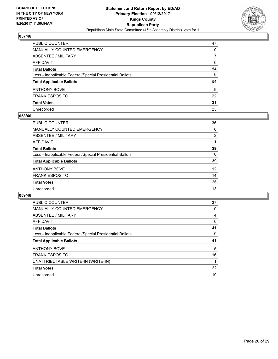

| PUBLIC COUNTER                                           | 47 |
|----------------------------------------------------------|----|
| MANUALLY COUNTED EMERGENCY                               | 0  |
| <b>ABSENTEE / MILITARY</b>                               | 7  |
| AFFIDAVIT                                                | 0  |
| <b>Total Ballots</b>                                     | 54 |
| Less - Inapplicable Federal/Special Presidential Ballots | 0  |
| <b>Total Applicable Ballots</b>                          | 54 |
| ANTHONY BOVE                                             | 9  |
| <b>FRANK ESPOSITO</b>                                    | 22 |
| <b>Total Votes</b>                                       | 31 |
| Unrecorded                                               | 23 |

#### **058/46**

| PUBLIC COUNTER                                           | 36                |
|----------------------------------------------------------|-------------------|
| <b>MANUALLY COUNTED EMERGENCY</b>                        | 0                 |
| ABSENTEE / MILITARY                                      | $\overline{2}$    |
| AFFIDAVIT                                                |                   |
| <b>Total Ballots</b>                                     | 39                |
| Less - Inapplicable Federal/Special Presidential Ballots | $\Omega$          |
| <b>Total Applicable Ballots</b>                          | 39                |
| <b>ANTHONY BOVE</b>                                      | $12 \overline{ }$ |
| <b>FRANK ESPOSITO</b>                                    | 14                |
| <b>Total Votes</b>                                       | 26                |
| Unrecorded                                               | 13                |
|                                                          |                   |

| <b>PUBLIC COUNTER</b>                                    | 37 |
|----------------------------------------------------------|----|
| MANUALLY COUNTED EMERGENCY                               | 0  |
| ABSENTEE / MILITARY                                      | 4  |
| AFFIDAVIT                                                | 0  |
| <b>Total Ballots</b>                                     | 41 |
| Less - Inapplicable Federal/Special Presidential Ballots | 0  |
|                                                          |    |
| <b>Total Applicable Ballots</b>                          | 41 |
| <b>ANTHONY BOVE</b>                                      | 5  |
| <b>FRANK ESPOSITO</b>                                    | 16 |
| UNATTRIBUTABLE WRITE-IN (WRITE-IN)                       |    |
| <b>Total Votes</b>                                       | 22 |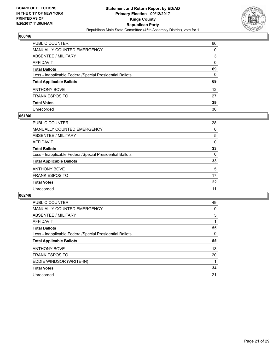

| PUBLIC COUNTER                                           | 66              |
|----------------------------------------------------------|-----------------|
| <b>MANUALLY COUNTED EMERGENCY</b>                        | 0               |
| <b>ABSENTEE / MILITARY</b>                               | 3               |
| AFFIDAVIT                                                | $\Omega$        |
| <b>Total Ballots</b>                                     | 69              |
| Less - Inapplicable Federal/Special Presidential Ballots | $\mathbf{0}$    |
| <b>Total Applicable Ballots</b>                          | 69              |
| ANTHONY BOVE                                             | 12 <sup>°</sup> |
| <b>FRANK ESPOSITO</b>                                    | 27              |
| <b>Total Votes</b>                                       | 39              |
| Unrecorded                                               | 30              |

#### **061/46**

| PUBLIC COUNTER                                           | 28       |
|----------------------------------------------------------|----------|
| <b>MANUALLY COUNTED EMERGENCY</b>                        | 0        |
| ABSENTEE / MILITARY                                      | 5        |
| AFFIDAVIT                                                | 0        |
| <b>Total Ballots</b>                                     | 33       |
| Less - Inapplicable Federal/Special Presidential Ballots | $\Omega$ |
| <b>Total Applicable Ballots</b>                          | 33       |
| <b>ANTHONY BOVE</b>                                      | 5        |
| <b>FRANK ESPOSITO</b>                                    | 17       |
| <b>Total Votes</b>                                       | 22       |
| Unrecorded                                               | 11       |
|                                                          |          |

| <b>PUBLIC COUNTER</b>                                    | 49 |
|----------------------------------------------------------|----|
| <b>MANUALLY COUNTED EMERGENCY</b>                        | 0  |
| ABSENTEE / MILITARY                                      | 5  |
| <b>AFFIDAVIT</b>                                         |    |
| <b>Total Ballots</b>                                     | 55 |
| Less - Inapplicable Federal/Special Presidential Ballots | 0  |
| <b>Total Applicable Ballots</b>                          | 55 |
| <b>ANTHONY BOVE</b>                                      | 13 |
| <b>FRANK ESPOSITO</b>                                    | 20 |
| EDDIE WINDSOR (WRITE-IN)                                 |    |
| <b>Total Votes</b>                                       | 34 |
| Unrecorded                                               | 21 |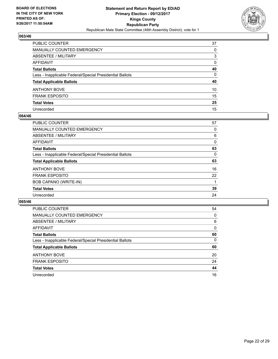

| PUBLIC COUNTER                                           | 37           |
|----------------------------------------------------------|--------------|
| <b>MANUALLY COUNTED EMERGENCY</b>                        | 0            |
| <b>ABSENTEE / MILITARY</b>                               | 3            |
| AFFIDAVIT                                                | $\Omega$     |
| <b>Total Ballots</b>                                     | 40           |
| Less - Inapplicable Federal/Special Presidential Ballots | $\mathbf{0}$ |
| <b>Total Applicable Ballots</b>                          | 40           |
| ANTHONY BOVE                                             | 10           |
| <b>FRANK ESPOSITO</b>                                    | 15           |
| <b>Total Votes</b>                                       | 25           |
| Unrecorded                                               | 15           |

#### **064/46**

| <b>PUBLIC COUNTER</b>                                    | 57 |
|----------------------------------------------------------|----|
| <b>MANUALLY COUNTED EMERGENCY</b>                        | 0  |
| ABSENTEE / MILITARY                                      | 6  |
| AFFIDAVIT                                                | 0  |
| <b>Total Ballots</b>                                     | 63 |
| Less - Inapplicable Federal/Special Presidential Ballots | 0  |
| <b>Total Applicable Ballots</b>                          | 63 |
| <b>ANTHONY BOVE</b>                                      | 16 |
| <b>FRANK ESPOSITO</b>                                    | 22 |
| BOB CAPANO (WRITE-IN)                                    |    |
| <b>Total Votes</b>                                       | 39 |
| Unrecorded                                               | 24 |

| <b>PUBLIC COUNTER</b>                                    | 54 |
|----------------------------------------------------------|----|
| <b>MANUALLY COUNTED EMERGENCY</b>                        | 0  |
| ABSENTEE / MILITARY                                      | 6  |
| AFFIDAVIT                                                | 0  |
| <b>Total Ballots</b>                                     | 60 |
| Less - Inapplicable Federal/Special Presidential Ballots | 0  |
| <b>Total Applicable Ballots</b>                          | 60 |
| <b>ANTHONY BOVE</b>                                      | 20 |
| <b>FRANK ESPOSITO</b>                                    | 24 |
| <b>Total Votes</b>                                       | 44 |
| Unrecorded                                               | 16 |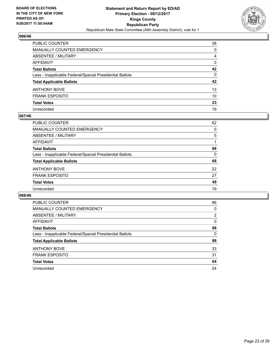

| PUBLIC COUNTER                                           | 38 |
|----------------------------------------------------------|----|
| <b>MANUALLY COUNTED EMERGENCY</b>                        | 0  |
| <b>ABSENTEE / MILITARY</b>                               | 4  |
| AFFIDAVIT                                                | 0  |
| <b>Total Ballots</b>                                     | 42 |
| Less - Inapplicable Federal/Special Presidential Ballots | 0  |
| <b>Total Applicable Ballots</b>                          | 42 |
| ANTHONY BOVE                                             | 13 |
| <b>FRANK ESPOSITO</b>                                    | 10 |
| <b>Total Votes</b>                                       | 23 |
| Unrecorded                                               | 19 |

#### **067/46**

| PUBLIC COUNTER                                           | 62       |
|----------------------------------------------------------|----------|
| <b>MANUALLY COUNTED EMERGENCY</b>                        | 0        |
| ABSENTEE / MILITARY                                      | 5        |
| AFFIDAVIT                                                |          |
| <b>Total Ballots</b>                                     | 68       |
| Less - Inapplicable Federal/Special Presidential Ballots | $\Omega$ |
| <b>Total Applicable Ballots</b>                          | 68       |
| <b>ANTHONY BOVE</b>                                      | 22       |
| <b>FRANK ESPOSITO</b>                                    | 27       |
| <b>Total Votes</b>                                       | 49       |
| Unrecorded                                               | 19       |
|                                                          |          |

| <b>PUBLIC COUNTER</b>                                    | 86 |
|----------------------------------------------------------|----|
| <b>MANUALLY COUNTED EMERGENCY</b>                        | 0  |
| ABSENTEE / MILITARY                                      | 2  |
| AFFIDAVIT                                                | 0  |
| <b>Total Ballots</b>                                     | 88 |
| Less - Inapplicable Federal/Special Presidential Ballots | 0  |
| <b>Total Applicable Ballots</b>                          | 88 |
| <b>ANTHONY BOVE</b>                                      | 33 |
| <b>FRANK ESPOSITO</b>                                    | 31 |
| <b>Total Votes</b>                                       | 64 |
| Unrecorded                                               | 24 |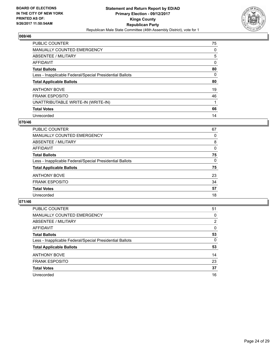

| <b>PUBLIC COUNTER</b>                                    | 75 |
|----------------------------------------------------------|----|
| <b>MANUALLY COUNTED EMERGENCY</b>                        | 0  |
| ABSENTEE / MILITARY                                      | 5  |
| AFFIDAVIT                                                | 0  |
| <b>Total Ballots</b>                                     | 80 |
| Less - Inapplicable Federal/Special Presidential Ballots | 0  |
| <b>Total Applicable Ballots</b>                          | 80 |
| <b>ANTHONY BOVE</b>                                      | 19 |
| <b>FRANK ESPOSITO</b>                                    | 46 |
| UNATTRIBUTABLE WRITE-IN (WRITE-IN)                       |    |
| <b>Total Votes</b>                                       | 66 |
| Unrecorded                                               | 14 |

#### **070/46**

| PUBLIC COUNTER                                           | 67       |
|----------------------------------------------------------|----------|
| <b>MANUALLY COUNTED EMERGENCY</b>                        | 0        |
| ABSENTEE / MILITARY                                      | 8        |
| AFFIDAVIT                                                | $\Omega$ |
| <b>Total Ballots</b>                                     | 75       |
| Less - Inapplicable Federal/Special Presidential Ballots | $\Omega$ |
| <b>Total Applicable Ballots</b>                          | 75       |
| <b>ANTHONY BOVE</b>                                      | 23       |
| <b>FRANK ESPOSITO</b>                                    | 34       |
| <b>Total Votes</b>                                       | 57       |
| Unrecorded                                               | 18       |

| <b>PUBLIC COUNTER</b>                                    | 51 |
|----------------------------------------------------------|----|
| <b>MANUALLY COUNTED EMERGENCY</b>                        | 0  |
| ABSENTEE / MILITARY                                      | 2  |
| AFFIDAVIT                                                | 0  |
| <b>Total Ballots</b>                                     | 53 |
| Less - Inapplicable Federal/Special Presidential Ballots | 0  |
| <b>Total Applicable Ballots</b>                          | 53 |
| <b>ANTHONY BOVE</b>                                      | 14 |
| <b>FRANK ESPOSITO</b>                                    | 23 |
| <b>Total Votes</b>                                       | 37 |
| Unrecorded                                               | 16 |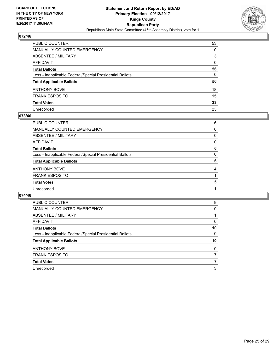

| PUBLIC COUNTER                                           | 53           |
|----------------------------------------------------------|--------------|
| MANUALLY COUNTED EMERGENCY                               | 0            |
| ABSENTEE / MILITARY                                      | 3            |
| AFFIDAVIT                                                | $\mathbf{0}$ |
| Total Ballots                                            | 56           |
| Less - Inapplicable Federal/Special Presidential Ballots | $\mathbf{0}$ |
| <b>Total Applicable Ballots</b>                          | 56           |
| ANTHONY BOVE                                             | 18           |
| FRANK ESPOSITO                                           | 15           |
| <b>Total Votes</b>                                       | 33           |
| Unrecorded                                               | 23           |

#### **073/46**

| PUBLIC COUNTER                                           | 6 |
|----------------------------------------------------------|---|
| <b>MANUALLY COUNTED EMERGENCY</b>                        | 0 |
| ABSENTEE / MILITARY                                      | 0 |
| <b>AFFIDAVIT</b>                                         | 0 |
| <b>Total Ballots</b>                                     | 6 |
| Less - Inapplicable Federal/Special Presidential Ballots | 0 |
| <b>Total Applicable Ballots</b>                          | 6 |
| <b>ANTHONY BOVE</b>                                      | 4 |
| <b>FRANK ESPOSITO</b>                                    |   |
| <b>Total Votes</b>                                       | 5 |
| Unrecorded                                               |   |
|                                                          |   |

| <b>PUBLIC COUNTER</b>                                    | 9  |
|----------------------------------------------------------|----|
| <b>MANUALLY COUNTED EMERGENCY</b>                        | 0  |
| ABSENTEE / MILITARY                                      |    |
| AFFIDAVIT                                                | 0  |
| <b>Total Ballots</b>                                     | 10 |
| Less - Inapplicable Federal/Special Presidential Ballots | 0  |
| <b>Total Applicable Ballots</b>                          | 10 |
|                                                          |    |
| <b>ANTHONY BOVE</b>                                      | 0  |
| <b>FRANK ESPOSITO</b>                                    |    |
| <b>Total Votes</b>                                       | 7  |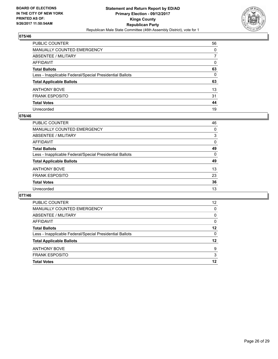

| PUBLIC COUNTER                                           | 56 |
|----------------------------------------------------------|----|
| MANUALLY COUNTED EMERGENCY                               | 0  |
| ABSENTEE / MILITARY                                      | 7  |
| AFFIDAVIT                                                | 0  |
| <b>Total Ballots</b>                                     | 63 |
| Less - Inapplicable Federal/Special Presidential Ballots | 0  |
| <b>Total Applicable Ballots</b>                          | 63 |
| ANTHONY BOVE                                             | 13 |
| <b>FRANK ESPOSITO</b>                                    | 31 |
| <b>Total Votes</b>                                       | 44 |
| Unrecorded                                               | 19 |

#### **076/46**

| PUBLIC COUNTER                                           | 46       |
|----------------------------------------------------------|----------|
|                                                          |          |
| <b>MANUALLY COUNTED EMERGENCY</b>                        | $\Omega$ |
| ABSENTEE / MILITARY                                      | 3        |
| AFFIDAVIT                                                | 0        |
| <b>Total Ballots</b>                                     | 49       |
| Less - Inapplicable Federal/Special Presidential Ballots | $\Omega$ |
| <b>Total Applicable Ballots</b>                          | 49       |
| <b>ANTHONY BOVE</b>                                      | 13       |
| <b>FRANK ESPOSITO</b>                                    | 23       |
| <b>Total Votes</b>                                       | 36       |
| Unrecorded                                               | 13       |

| <b>FRANK ESPOSITO</b>                                    | 3  |
|----------------------------------------------------------|----|
| <b>ANTHONY BOVE</b>                                      | 9  |
| <b>Total Applicable Ballots</b>                          | 12 |
| Less - Inapplicable Federal/Special Presidential Ballots | 0  |
| <b>Total Ballots</b>                                     | 12 |
| AFFIDAVIT                                                | 0  |
| ABSENTEE / MILITARY                                      | 0  |
| MANUALLY COUNTED EMERGENCY                               | 0  |
| PUBLIC COUNTER                                           | 12 |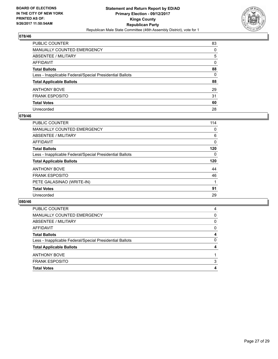

| PUBLIC COUNTER                                           | 83           |
|----------------------------------------------------------|--------------|
| <b>MANUALLY COUNTED EMERGENCY</b>                        | 0            |
| <b>ABSENTEE / MILITARY</b>                               | 5            |
| AFFIDAVIT                                                | $\Omega$     |
| <b>Total Ballots</b>                                     | 88           |
| Less - Inapplicable Federal/Special Presidential Ballots | $\mathbf{0}$ |
| <b>Total Applicable Ballots</b>                          | 88           |
| ANTHONY BOVE                                             | 29           |
| <b>FRANK ESPOSITO</b>                                    | 31           |
| <b>Total Votes</b>                                       | 60           |
| Unrecorded                                               | 28           |

#### **079/46**

| <b>PUBLIC COUNTER</b>                                    | 114 |
|----------------------------------------------------------|-----|
| <b>MANUALLY COUNTED EMERGENCY</b>                        | 0   |
| ABSENTEE / MILITARY                                      | 6   |
| AFFIDAVIT                                                | 0   |
| <b>Total Ballots</b>                                     | 120 |
| Less - Inapplicable Federal/Special Presidential Ballots | 0   |
| <b>Total Applicable Ballots</b>                          | 120 |
| <b>ANTHONY BOVE</b>                                      | 44  |
| <b>FRANK ESPOSITO</b>                                    | 46  |
| PETE GALASINAO (WRITE-IN)                                |     |
| <b>Total Votes</b>                                       | 91  |
| Unrecorded                                               | 29  |

| <b>PUBLIC COUNTER</b>                                    | 4 |
|----------------------------------------------------------|---|
| MANUALLY COUNTED EMERGENCY                               | 0 |
| ABSENTEE / MILITARY                                      | 0 |
| AFFIDAVIT                                                | 0 |
| <b>Total Ballots</b>                                     | 4 |
| Less - Inapplicable Federal/Special Presidential Ballots | 0 |
| <b>Total Applicable Ballots</b>                          | 4 |
| <b>ANTHONY BOVE</b>                                      |   |
| <b>FRANK ESPOSITO</b>                                    | 3 |
| <b>Total Votes</b>                                       | 4 |
|                                                          |   |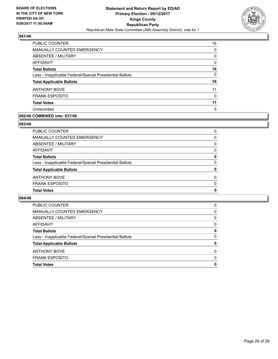

| <b>PUBLIC COUNTER</b>                                    | 16 |
|----------------------------------------------------------|----|
| <b>MANUALLY COUNTED EMERGENCY</b>                        | 0  |
| ABSENTEE / MILITARY                                      | 0  |
| AFFIDAVIT                                                | 0  |
| <b>Total Ballots</b>                                     | 16 |
| Less - Inapplicable Federal/Special Presidential Ballots | 0  |
| <b>Total Applicable Ballots</b>                          | 16 |
| <b>ANTHONY BOVE</b>                                      | 11 |
| <b>FRANK ESPOSITO</b>                                    | 0  |
| <b>Total Votes</b>                                       | 11 |
| Unrecorded                                               | 5  |
|                                                          |    |

## **082/46 COMBINED into: 037/46**

#### **083/46**

| PUBLIC COUNTER                                           | 0 |
|----------------------------------------------------------|---|
| MANUALLY COUNTED EMERGENCY                               | 0 |
| ABSENTEE / MILITARY                                      | 0 |
| AFFIDAVIT                                                | 0 |
| Total Ballots                                            | 0 |
| Less - Inapplicable Federal/Special Presidential Ballots | 0 |
| <b>Total Applicable Ballots</b>                          | 0 |
| ANTHONY BOVE                                             | 0 |
| <b>FRANK ESPOSITO</b>                                    | 0 |
| <b>Total Votes</b>                                       | 0 |
|                                                          |   |

| <b>Total Votes</b>                                       | 0        |
|----------------------------------------------------------|----------|
| <b>FRANK ESPOSITO</b>                                    | $\Omega$ |
| <b>ANTHONY BOVE</b>                                      | $\Omega$ |
| <b>Total Applicable Ballots</b>                          | 0        |
| Less - Inapplicable Federal/Special Presidential Ballots | 0        |
| <b>Total Ballots</b>                                     | 0        |
| AFFIDAVIT                                                | 0        |
| ABSENTEE / MILITARY                                      | $\Omega$ |
| MANUALLY COUNTED EMERGENCY                               | 0        |
| <b>PUBLIC COUNTER</b>                                    | 0        |